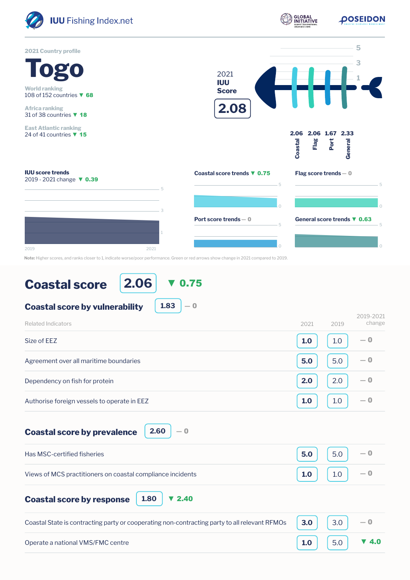

## **Coastal score**

**2.06** ▼ 0.75

**1.83**

 $-0$ 

```
Coastal score by vulnerability
```

| Related Indicators                          | 2021 | 2019 | 2019-2021<br>change |
|---------------------------------------------|------|------|---------------------|
| Size of EEZ                                 | 1.0  | 1.0  | $-0$                |
| Agreement over all maritime boundaries      | 5.0  | 5.0  | $-0$                |
| Dependency on fish for protein              | 2.0  | 2.0  | $-0$                |
| Authorise foreign vessels to operate in EEZ | 1.0  | 1.0  | $-0$                |

**Coastal score by prevalence**

| Has MSC-certified fisheries                                | 5.0 $\Big $ 5.0 $\Big $ - 0                                                  |  |
|------------------------------------------------------------|------------------------------------------------------------------------------|--|
| Views of MCS practitioners on coastal compliance incidents | $\begin{bmatrix} 1.0 \end{bmatrix}$ $\begin{bmatrix} 1.0 \end{bmatrix}$ $-0$ |  |

| <b>Coastal score by response</b> |  |
|----------------------------------|--|
|----------------------------------|--|

| Coastal State is contracting party or cooperating non-contracting party to all relevant RFMOs $\begin{vmatrix} 3.0 \\ 3.0 \end{vmatrix}$ 3.0 $\begin{vmatrix} -0 \\ 0 \end{vmatrix}$ |                                                                                      |  |
|--------------------------------------------------------------------------------------------------------------------------------------------------------------------------------------|--------------------------------------------------------------------------------------|--|
| Operate a national VMS/FMC centre                                                                                                                                                    | $\begin{bmatrix} 1.0 \end{bmatrix}$ $\begin{bmatrix} 5.0 \end{bmatrix}$ <b>v</b> 4.0 |  |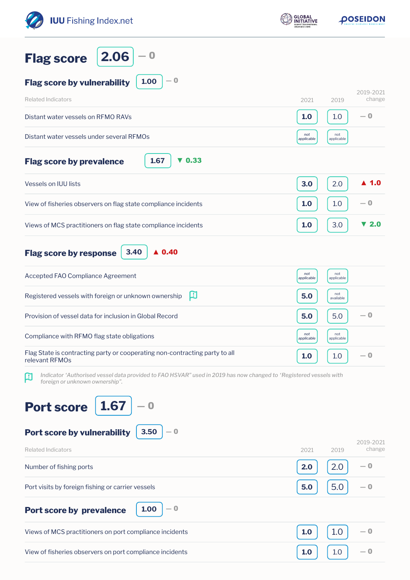| <b>IUU</b> Fishing Index.net                                                                                                                             | <b>GLOBAL</b><br><b>NITIATIVE</b> | <b><i>POSEIDON</i></b>          |  |
|----------------------------------------------------------------------------------------------------------------------------------------------------------|-----------------------------------|---------------------------------|--|
| 2.06<br>$\bf{O}$<br><b>Flag score</b>                                                                                                                    |                                   |                                 |  |
| $-0$<br>1.00<br><b>Flag score by vulnerability</b>                                                                                                       |                                   |                                 |  |
| <b>Related Indicators</b>                                                                                                                                | 2021                              | 2019-2021<br>change<br>2019     |  |
| Distant water vessels on RFMO RAVs                                                                                                                       | 1.0                               | — 0<br>1.0                      |  |
| Distant water vessels under several RFMOs                                                                                                                | not<br>applicable                 | not<br>applicable               |  |
| 1.67<br>0.33<br><b>Flag score by prevalence</b><br>v                                                                                                     |                                   |                                 |  |
| Vessels on IUU lists                                                                                                                                     | 3.0                               | $\blacktriangle$ 1.0<br>2.0     |  |
| View of fisheries observers on flag state compliance incidents                                                                                           | 1.0                               | $-0$<br>1.0                     |  |
| Views of MCS practitioners on flag state compliance incidents                                                                                            | 1.0                               | $\blacktriangledown$ 2.0<br>3.0 |  |
| $\triangle$ 0.40<br>3.40<br><b>Flag score by response</b>                                                                                                |                                   |                                 |  |
| Accepted FAO Compliance Agreement                                                                                                                        | not<br>applicable                 | not<br>applicable               |  |
| 口<br>Registered vessels with foreign or unknown ownership                                                                                                | 5.0                               | not<br>available                |  |
| Provision of vessel data for inclusion in Global Record                                                                                                  | 5.0                               | $-0$<br>5.0                     |  |
| Compliance with RFMO flag state obligations                                                                                                              | not<br>applicable                 | not<br>applicable               |  |
| Flag State is contracting party or cooperating non-contracting party to all<br>relevant RFMOs                                                            | 1.0                               | $-0$<br>1.0                     |  |
| Indicator 'Authorised vessel data provided to FAO HSVAR" used in 2019 has now changed to 'Registered vessels with<br>口<br>foreign or unknown ownership". |                                   |                                 |  |
| 1.67<br><b>Port score</b><br>Port score by vulnerability<br>3.50<br>$-0$                                                                                 |                                   |                                 |  |
| <b>Related Indicators</b>                                                                                                                                | 2021                              | 2019-2021<br>change<br>2019     |  |
| Number of fishing ports                                                                                                                                  | 2.0                               | 2.0<br>— 0                      |  |
| Port visits by foreign fishing or carrier vessels                                                                                                        | 5.0                               | 5.0<br>— 0                      |  |
| $-0$<br>1.00<br><b>Port score by prevalence</b>                                                                                                          |                                   |                                 |  |
| Views of MCS practitioners on port compliance incidents                                                                                                  | 1.0                               | 1.0<br>— 0                      |  |
| View of fisheries observers on port compliance incidents                                                                                                 | 1.0                               | — 0<br>1.0                      |  |